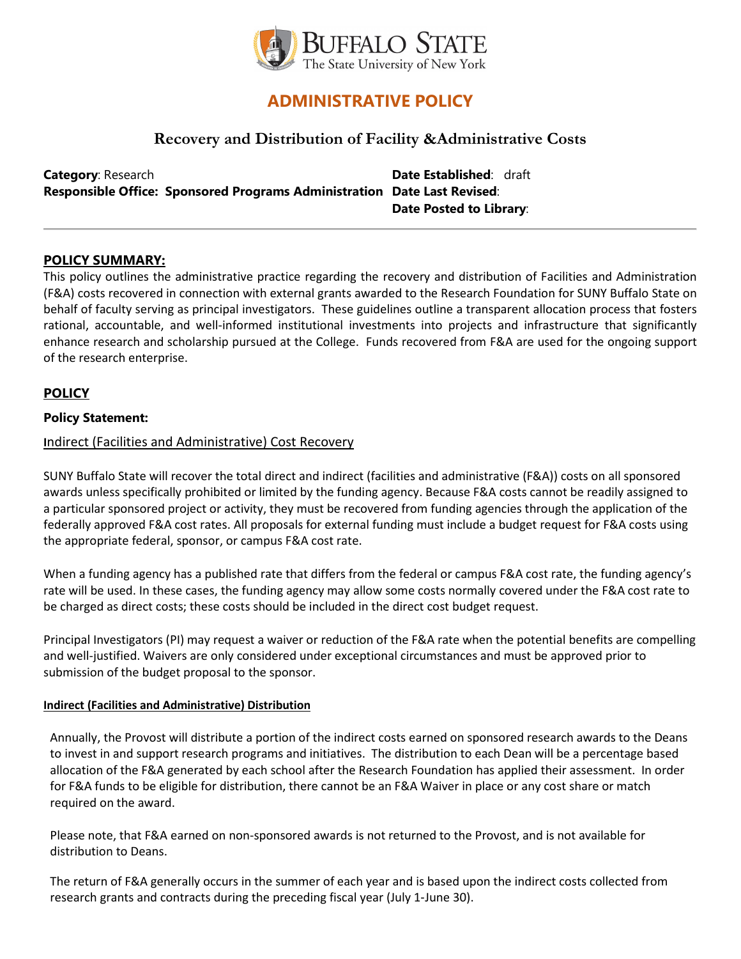

# **ADMINISTRATIVE POLICY**

## **Recovery and Distribution of Facility &Administrative Costs**

**Category**: Research **Date Established: draft Responsible Office: Sponsored Programs Administration Date Last Revised**: **Date Posted to Library**:

#### **POLICY SUMMARY:**

This policy outlines the administrative practice regarding the recovery and distribution of Facilities and Administration (F&A) costs recovered in connection with external grants awarded to the Research Foundation for SUNY Buffalo State on behalf of faculty serving as principal investigators. These guidelines outline a transparent allocation process that fosters rational, accountable, and well-informed institutional investments into projects and infrastructure that significantly enhance research and scholarship pursued at the College. Funds recovered from F&A are used for the ongoing support of the research enterprise.

## **POLICY**

#### **Policy Statement:**

#### **I**ndirect (Facilities and Administrative) Cost Recovery

SUNY Buffalo State will recover the total direct and indirect (facilities and administrative (F&A)) costs on all sponsored awards unless specifically prohibited or limited by the funding agency. Because F&A costs cannot be readily assigned to a particular sponsored project or activity, they must be recovered from funding agencies through the application of the federally approved F&A cost rates. All proposals for external funding must include a budget request for F&A costs using the appropriate federal, sponsor, or campus F&A cost rate.

When a funding agency has a published rate that differs from the federal or campus F&A cost rate, the funding agency's rate will be used. In these cases, the funding agency may allow some costs normally covered under the F&A cost rate to be charged as direct costs; these costs should be included in the direct cost budget request.

Principal Investigators (PI) may request a waiver or reduction of the F&A rate when the potential benefits are compelling and well-justified. Waivers are only considered under exceptional circumstances and must be approved prior to submission of the budget proposal to the sponsor.

#### **Indirect (Facilities and Administrative) Distribution**

Annually, the Provost will distribute a portion of the indirect costs earned on sponsored research awards to the Deans to invest in and support research programs and initiatives. The distribution to each Dean will be a percentage based allocation of the F&A generated by each school after the Research Foundation has applied their assessment. In order for F&A funds to be eligible for distribution, there cannot be an F&A Waiver in place or any cost share or match required on the award.

Please note, that F&A earned on non-sponsored awards is not returned to the Provost, and is not available for distribution to Deans.

The return of F&A generally occurs in the summer of each year and is based upon the indirect costs collected from research grants and contracts during the preceding fiscal year (July 1‑June 30).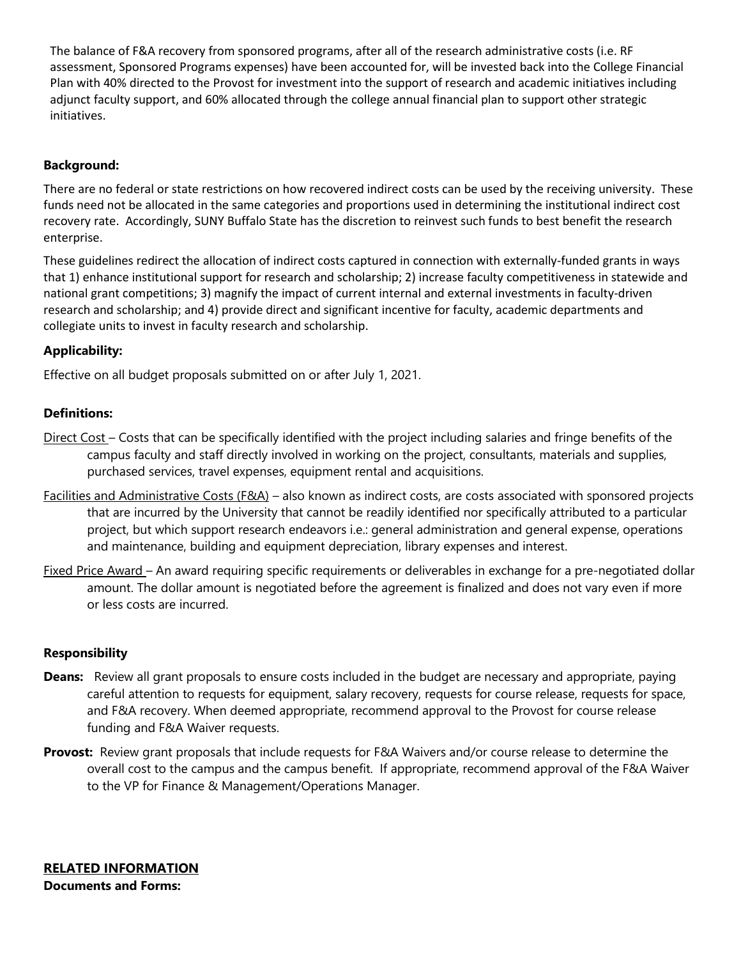The balance of F&A recovery from sponsored programs, after all of the research administrative costs (i.e. RF assessment, Sponsored Programs expenses) have been accounted for, will be invested back into the College Financial Plan with 40% directed to the Provost for investment into the support of research and academic initiatives including adjunct faculty support, and 60% allocated through the college annual financial plan to support other strategic initiatives.

## **Background:**

There are no federal or state restrictions on how recovered indirect costs can be used by the receiving university. These funds need not be allocated in the same categories and proportions used in determining the institutional indirect cost recovery rate. Accordingly, SUNY Buffalo State has the discretion to reinvest such funds to best benefit the research enterprise.

These guidelines redirect the allocation of indirect costs captured in connection with externally-funded grants in ways that 1) enhance institutional support for research and scholarship; 2) increase faculty competitiveness in statewide and national grant competitions; 3) magnify the impact of current internal and external investments in faculty-driven research and scholarship; and 4) provide direct and significant incentive for faculty, academic departments and collegiate units to invest in faculty research and scholarship.

## **Applicability:**

Effective on all budget proposals submitted on or after July 1, 2021.

## **Definitions:**

- Direct Cost Costs that can be specifically identified with the project including salaries and fringe benefits of the campus faculty and staff directly involved in working on the project, consultants, materials and supplies, purchased services, travel expenses, equipment rental and acquisitions.
- Facilities and Administrative Costs (F&A) also known as indirect costs, are costs associated with sponsored projects that are incurred by the University that cannot be readily identified nor specifically attributed to a particular project, but which support research endeavors i.e.: general administration and general expense, operations and maintenance, building and equipment depreciation, library expenses and interest.
- Fixed Price Award An award requiring specific requirements or deliverables in exchange for a pre-negotiated dollar amount. The dollar amount is negotiated before the agreement is finalized and does not vary even if more or less costs are incurred.

#### **Responsibility**

- **Deans:** Review all grant proposals to ensure costs included in the budget are necessary and appropriate, paying careful attention to requests for equipment, salary recovery, requests for course release, requests for space, and F&A recovery. When deemed appropriate, recommend approval to the Provost for course release funding and F&A Waiver requests.
- **Provost:** Review grant proposals that include requests for F&A Waivers and/or course release to determine the overall cost to the campus and the campus benefit. If appropriate, recommend approval of the F&A Waiver to the VP for Finance & Management/Operations Manager.